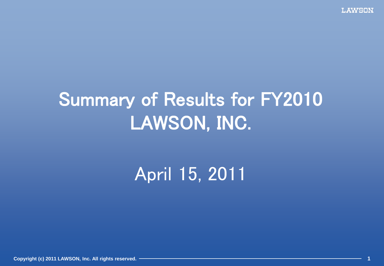**LAWSON** 

## Summary of Results for FY2010 LAWSON, INC.

April 15, 2011

**Copyright (c) 2011 LAWSON, Inc. All rights reserved. 1**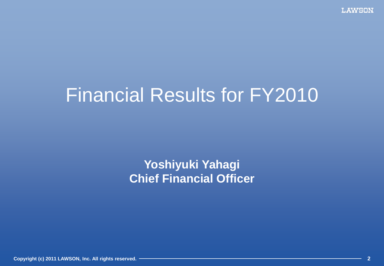## Financial Results for FY2010

#### **Yoshiyuki Yahagi Chief Financial Officer**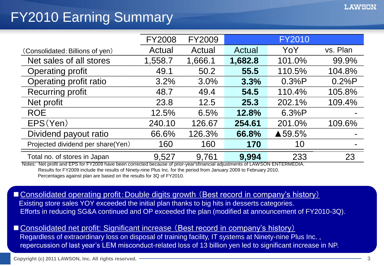## FY2010 Earning Summary

|                                   | <b>FY2008</b> | <b>FY2009</b> |         | <b>FY2010</b>     |          |
|-----------------------------------|---------------|---------------|---------|-------------------|----------|
| (Consolidated: Billions of yen)   | Actual        | Actual        | Actual  | YoY               | vs. Plan |
| Net sales of all stores           | 1,558.7       | 1,666.1       | 1,682.8 | 101.0%            | 99.9%    |
| <b>Operating profit</b>           | 49.1          | 50.2          | 55.5    | 110.5%            | 104.8%   |
| Operating profit ratio            | 3.2%          | 3.0%          | 3.3%    | 0.3%P             | 0.2%P    |
| <b>Recurring profit</b>           | 48.7          | 49.4          | 54.5    | 110.4%            | 105.8%   |
| Net profit                        | 23.8          | 12.5          | 25.3    | 202.1%            | 109.4%   |
| <b>ROE</b>                        | 12.5%         | 6.5%          | 12.8%   | 6.3%P             |          |
| EPS(Yen)                          | 240.10        | 126.67        | 254.61  | 201.0%            | 109.6%   |
| Dividend payout ratio             | 66.6%         | 126.3%        | 66.8%   | $\triangle$ 59.5% |          |
| Projected dividend per share(Yen) | 160           | 160           | 170     | 10                |          |
| Total no. of stores in Japan      | 9,527         | 9,761         | 9,994   | 233               | 23       |

Notes: Net profit and EPS for FY2009 have been corrected because of prior-year'sfinancial adjustments of LAWSON ENTERMEDIA. Results for FY2009 include the results of Ninety-nine Plus Inc. for the period from January 2009 to February 2010. Percentages against plan are based on the results for 3Q of FY2010.

■ Consolidated operating profit: Double digits growth (Best record in company's history)

 Existing store sales YOY exceeded the initial plan thanks to big hits in desserts categories. Efforts in reducing SG&A continued and OP exceeded the plan (modified at announcement of FY2010-3Q).

■ Consolidated net profit: Significant increase (Best record in company's history) Regardless of extraordinary loss on disposal of training facility, IT systems at Ninety-nine Plus Inc. , repercussion of last year's LEM misconduct-related loss of 13 billion yen led to significant increase in NP.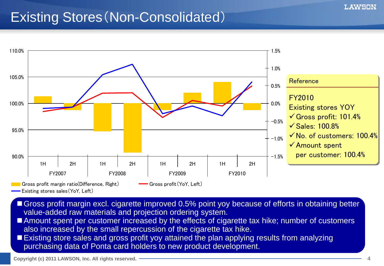### Existing Stores(Non-Consolidated)



- Gross profit margin excl. cigarette improved 0.5% point yoy because of efforts in obtaining better value-added raw materials and projection ordering system.
- Amount spent per customer increased by the effects of cigarette tax hike; number of customers also increased by the small repercussion of the cigarette tax hike.
- **Existing store sales and gross profit yoy attained the plan applying results from analyzing** purchasing data of Ponta card holders to new product development.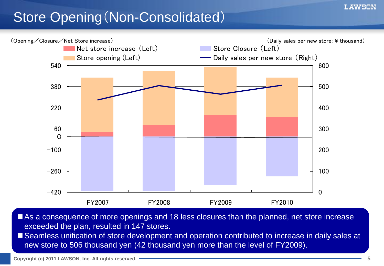### Store Opening(Non-Consolidated)



As a consequence of more openings and 18 less closures than the planned, net store increase exceeded the plan, resulted in 147 stores.

■ Seamless unification of store development and operation contributed to increase in daily sales at new store to 506 thousand yen (42 thousand yen more than the level of FY2009).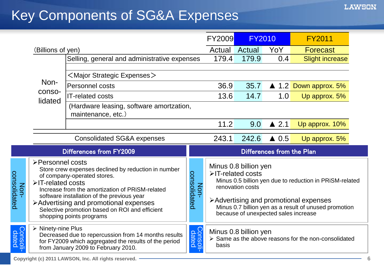## Key Components of SG&A Expenses

|                      |                                                                |                                                                                                                                                                                                                                                                                                            |                      | <b>FY2009</b>             | <b>FY2010</b>                                                                                          |                 | <b>FY2011</b>                                                                                                                                             |
|----------------------|----------------------------------------------------------------|------------------------------------------------------------------------------------------------------------------------------------------------------------------------------------------------------------------------------------------------------------------------------------------------------------|----------------------|---------------------------|--------------------------------------------------------------------------------------------------------|-----------------|-----------------------------------------------------------------------------------------------------------------------------------------------------------|
|                      | (Billions of yen)                                              |                                                                                                                                                                                                                                                                                                            |                      | <b>Actual Actual</b>      |                                                                                                        | YoY             | <b>Forecast</b>                                                                                                                                           |
|                      |                                                                | Selling, general and administrative expenses                                                                                                                                                                                                                                                               |                      | 179.4                     | 179.9                                                                                                  | 0.4             | <b>Slight increase</b>                                                                                                                                    |
|                      | $\leq$ Major Strategic Expenses $>$<br>Non-<br>Personnel costs |                                                                                                                                                                                                                                                                                                            |                      | 36.9                      | 35.7                                                                                                   |                 | $\triangle$ 1.2 Down approx. 5%                                                                                                                           |
|                      | conso-                                                         | <b>IT-related costs</b>                                                                                                                                                                                                                                                                                    |                      | 13.6                      | 14.7                                                                                                   | 1.0             | Up approx. 5%                                                                                                                                             |
|                      | lidated                                                        | (Hardware leasing, software amortzation,<br>maintenance, etc.)                                                                                                                                                                                                                                             |                      |                           |                                                                                                        |                 |                                                                                                                                                           |
|                      |                                                                |                                                                                                                                                                                                                                                                                                            |                      | 11.2                      | 9.0                                                                                                    | $\triangle$ 2.1 | Up approx. 10%                                                                                                                                            |
|                      | <b>Consolidated SG&amp;A expenses</b>                          |                                                                                                                                                                                                                                                                                                            |                      | 243.1                     | 242.6                                                                                                  | $\triangle$ 0.5 | Up approx. 5%                                                                                                                                             |
|                      | <b>Differences from FY2009</b>                                 |                                                                                                                                                                                                                                                                                                            |                      | Differences from the Plan |                                                                                                        |                 |                                                                                                                                                           |
|                      |                                                                |                                                                                                                                                                                                                                                                                                            |                      |                           |                                                                                                        |                 |                                                                                                                                                           |
| Non-<br>consolidated | ≻Personnel costs<br>$\blacktriangleright$ IT-related costs     | Store crew expenses declined by reduction in number<br>of company-operated stores.<br>Increase from the amortization of PRiSM-related<br>software installation of the previous year<br>>Advertising and promotional expenses<br>Selective promotion based on ROI and efficient<br>shopping points programs | consolidated<br>Non- |                           | Minus 0.8 billion yen<br>>IT-related costs<br>renovation costs<br>because of unexpected sales increase |                 | Minus 0.5 billion yen due to reduction in PRISM-related<br>≻Advertising and promotional expenses<br>Minus 0.7 billion yen as a result of unused promotion |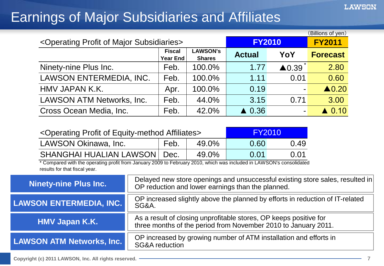### Earnings of Major Subsidiaries and Affiliates

| (Billions of yen)                                                |                                  |                                  |                  |                  |                  |  |  |
|------------------------------------------------------------------|----------------------------------|----------------------------------|------------------|------------------|------------------|--|--|
| <operating major="" of="" profit="" subsidiaries=""></operating> | <b>FY2010</b>                    | <b>FY2011</b>                    |                  |                  |                  |  |  |
|                                                                  | <b>Fiscal</b><br><b>Year End</b> | <b>LAWSON's</b><br><b>Shares</b> | <b>Actual</b>    | YoY              | <b>Forecast</b>  |  |  |
| Ninety-nine Plus Inc.                                            | Feb.                             | 100.0%                           | 1.77             | $\triangle$ 0.39 | 2.80             |  |  |
| LAWSON ENTERMEDIA, INC.                                          | Feb.                             | 100.0%                           | 1.11             | 0.01             | 0.60             |  |  |
| HMV JAPAN K.K.                                                   | Apr.                             | 100.0%                           | 0.19             |                  | $\triangle$ 0.20 |  |  |
| <b>LAWSON ATM Networks, Inc.</b>                                 | Feb.                             | 44.0%                            | 3.15             | 0.71             | 3.00             |  |  |
| Cross Ocean Media, Inc.                                          | Feb.                             | 42.0%                            | $\triangle$ 0.36 |                  | $\triangle$ 0.10 |  |  |

| <operating affiliates="" equity-method="" of="" profit=""></operating> |      |       | <b>FY2010</b>       |      |
|------------------------------------------------------------------------|------|-------|---------------------|------|
| LAWSON Okinawa, Inc.                                                   | Feb. | 49.0% | 0.60                | 0.49 |
| <b>SHANGHAI HUALIAN LAWSON   Dec.</b>                                  |      | 49.0% | $\Omega$ $\Omega$ 1 | 0.01 |

\* Compared with the operating profit from January 2009 to February 2010, which was included in LAWSON's consolidated results for that fiscal year.

| <b>Ninety-nine Plus Inc.</b>     | Delayed new store openings and unsuccessful existing store sales, resulted in<br>OP reduction and lower earnings than the planned.  |
|----------------------------------|-------------------------------------------------------------------------------------------------------------------------------------|
| <b>LAWSON ENTERMEDIA, INC.</b>   | OP increased slightly above the planned by efforts in reduction of IT-related<br>SG&A.                                              |
| <b>HMV Japan K.K.</b>            | As a result of closing unprofitable stores, OP keeps positive for<br>three months of the period from November 2010 to January 2011. |
| <b>LAWSON ATM Networks, Inc.</b> | OP increased by growing number of ATM installation and efforts in<br><b>SG&amp;A reduction</b>                                      |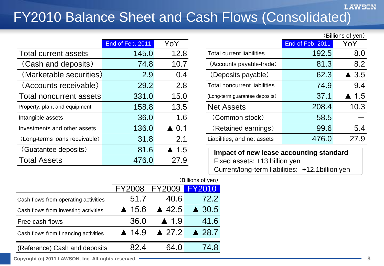#### **LAWSON** FY2010 Balance Sheet and Cash Flows (Consolidated)

|                                | End of Feb. 2011 | YoY             |                                         | End of Feb. 2011 | YoY             |
|--------------------------------|------------------|-----------------|-----------------------------------------|------------------|-----------------|
| <b>Total current assets</b>    | 145.0            | 12.8            | <b>Total current liabilities</b>        | 192.5            | 8.0             |
| (Cash and deposits)            | 74.8             | 10.7            | (Accounts payable-trade)                | 81.3             | 8.2             |
| (Marketable securities)        | 2.9              | 0.4             | (Deposits payable)                      | 62.3             | $\triangle$ 3.5 |
| (Accounts receivable)          | 29.2             | 2.8             | <b>Total noncurrent liabilities</b>     | 74.9             | 9.4             |
| <b>Total noncurrent assets</b> | 331.0            | 15.0            | (Long-term guarantee deposits)          | 37.1             | 1.5             |
| Property, plant and equipment  | 158.8            | 13.5            | <b>Net Assets</b>                       | 208.4            | 10.3            |
| Intangible assets              | 36.0             | 1.6             | (Common stock)                          | 58.5             |                 |
| Investments and other assets   | 136.0            | $\triangle$ 0.1 | (Retained earnings)                     | 99.6             | 5.4             |
| (Long-terms loans receivable)  | 31.8             | 2.1             | Liabilities, and net assets             | 476.0            | 27.9            |
| (Guatantee deposits)           | 81.6             | $\triangle$ 1.5 | Impact of new lease accounting standard |                  |                 |
| <b>Total Assets</b>            | 476.0            | 27.9            | Fixed assets: +13 billion yen           |                  |                 |

|                  |                      |                                     |                  | (Billions of yen)    |
|------------------|----------------------|-------------------------------------|------------------|----------------------|
| End of Feb. 2011 | YoY                  |                                     | End of Feb. 2011 | YoY                  |
| 145.0            | 12.8                 | <b>Total current liabilities</b>    | 192.5            | 8.0                  |
| 74.8             | 10.7                 | (Accounts payable-trade)            | 81.3             | 8.2                  |
| 2.9              | 0.4                  | (Deposits payable)                  | 62.3             | $\triangle$ 3.5      |
| 29.2             | 2.8                  | <b>Total noncurrent liabilities</b> | 74.9             | 9.4                  |
| 331.0            | 15.0                 | (Long-term guarantee deposits)      | 37.1             | $\blacktriangle$ 1.5 |
| 158.8            | 13.5                 | <b>Net Assets</b>                   | 208.4            | 10.3                 |
| 36.0             | 1.6                  | (Common stock)                      | 58.5             |                      |
| 136.0            | $\blacktriangle$ 0.1 | (Retained earnings)                 | 99.6             | 5.4                  |
| 31.8             | 2.1                  | Liabilities, and net assets         | 476.0            | 27.9                 |

**Impact of new lease accounting standard** Fixed assets: +13 billion yen Current/long-term liabilities: +12.1billion yen

|                                      |                       |                      | (Billions of yen) |
|--------------------------------------|-----------------------|----------------------|-------------------|
|                                      | <b>FY2008</b>         | <b>FY2009  </b>      | <b>FY2010</b>     |
| Cash flows from operating activities | 51.7                  | 40.6                 | 72.2              |
| Cash flows from investing activities | $\blacktriangle$ 15.6 | $\triangle$ 42.5     | $\triangle$ 30.5  |
| Free cash flows                      | 36.0                  | $\blacktriangle$ 1.9 | 41.6              |
| Cash flows from financing activities | $\blacktriangle$ 14.9 | $\triangle$ 27.2     | ▲ 28.7            |
| (Reference) Cash and deposits        |                       | 64 ()                | 48                |
|                                      |                       |                      |                   |

**Copyright (c) 2011 LAWSON, Inc. All rights reserved. 8**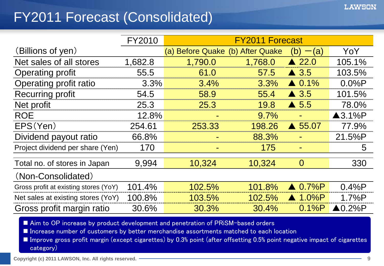### FY2011 Forecast (Consolidated)

|                                       | <b>FY2010</b> |                                  | <b>FY2011 Forecast</b> |                   |                          |
|---------------------------------------|---------------|----------------------------------|------------------------|-------------------|--------------------------|
| (Billions of yen)                     |               | (a) Before Quake (b) After Quake |                        | (b)<br>(a)        | YoY                      |
| Net sales of all stores               | 1,682.8       | 1,790.0                          | 1,768.0                | $\triangle$ 22.0  | 105.1%                   |
| <b>Operating profit</b>               | 55.5          | 61.0                             | 57.5                   | $\triangle$ 3.5   | 103.5%                   |
| Operating profit ratio                | 3.3%          | 3.4%                             | 3.3%                   | $\triangle$ 0.1%  | $0.0\%P$                 |
| <b>Recurring profit</b>               | 54.5          | 58.9                             | 55.4                   | $\triangle$ 3.5   | 101.5%                   |
| Net profit                            | 25.3          | 25.3                             | 19.8                   | $\triangle$ 5.5   | 78.0%                    |
| <b>ROE</b>                            | 12.8%         |                                  | 9.7%                   |                   | $\triangle$ 3.1%P        |
| EPS(Yen)                              | 254.61        | 253.33                           | 198.26                 | $\triangle$ 55.07 | 77.9%                    |
| Dividend payout ratio                 | 66.8%         |                                  | 88.3%                  |                   | 21.5%P                   |
| Project dividend per share (Yen)      | 170           | ۰                                | 175                    |                   | 5                        |
| Total no. of stores in Japan          | 9.994         | 10,324                           | 10,324                 | $\overline{0}$    | 330                      |
| (Non-Consolidated)                    |               |                                  |                        |                   |                          |
| Gross profit at existing stores (YoY) | 101.4%        | 102.5%                           | 101.8%                 | $\triangle$ 0.7%P | 0.4%P                    |
| Net sales at existing stores (YoY)    | 100.8%        | 103.5%                           | 102.5%                 | $\triangle$ 1.0%P | 1.7%P                    |
| Gross profit margin ratio             | 30.6%         | 30.3%                            | 30.4%                  | 0.1%P             | $\blacktriangle 0.2\%$ P |

■ Aim to OP increase by product development and penetration of PRiSM-based orders

■ Increase number of customers by better merchandise assortments matched to each location

■ Improve gross profit margin (except cigarettes) by 0.3% point (after offsetting 0.5% point negative impact of cigarettes category)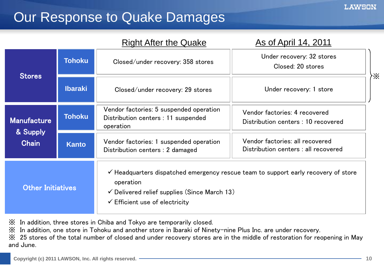### Our Response to Quake Damages

|                                |                | <b>Right After the Quake</b>                                                                                      | As of April 14, 2011                                                                          |
|--------------------------------|----------------|-------------------------------------------------------------------------------------------------------------------|-----------------------------------------------------------------------------------------------|
| <b>Stores</b>                  | <b>Tohoku</b>  | Closed/under recovery: 358 stores                                                                                 | Under recovery: 32 stores<br>Closed: 20 stores                                                |
|                                | <b>Ibaraki</b> | Closed/under recovery: 29 stores                                                                                  | Under recovery: 1 store                                                                       |
| <b>Manufacture</b><br>& Supply | <b>Tohoku</b>  | Vendor factories: 5 suspended operation<br>Distribution centers : 11 suspended<br>operation                       | Vendor factories: 4 recovered<br>Distribution centers : 10 recovered                          |
| <b>Chain</b>                   | <b>Kanto</b>   | Vendor factories: 1 suspended operation<br>Distribution centers : 2 damaged                                       | Vendor factories: all recovered<br>Distribution centers : all recovered                       |
| <b>Other Initiatives</b>       |                | operation<br>$\checkmark$ Delivered relief supplies (Since March 13)<br>$\checkmark$ Efficient use of electricity | $\checkmark$ Headquarters dispatched emergency rescue team to support early recovery of store |

※ In addition, three stores in Chiba and Tokyo are temporarily closed.

※ In addition, one store in Tohoku and another store in Ibaraki of Ninety-nine Plus Inc. are under recovery.

※ 25 stores of the total number of closed and under recovery stores are in the middle of restoration for reopening in May and June.

※

**LAWSON**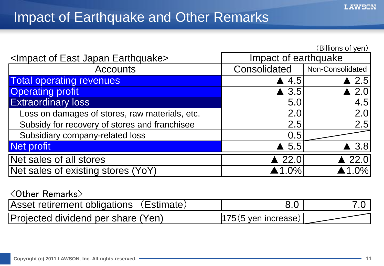#### Impact of Earthquake and Other Remarks

|                                                        |                       | (Billions of yen) |
|--------------------------------------------------------|-----------------------|-------------------|
| <impact earthquake="" east="" japan="" of=""></impact> | Impact of earthquake  |                   |
| <b>Accounts</b>                                        | Consolidated          | Non-Consolidated  |
| <b>Total operating revenues</b>                        | $\triangle$ 4.5       | $\triangle$ 2.5   |
| <b>Operating profit</b>                                | $\triangle$ 3.5       | $\triangle$ 2.0   |
| <b>Extraordinary loss</b>                              | 5.0                   | 4.5               |
| Loss on damages of stores, raw materials, etc.         | 2.0                   | 2.0               |
| Subsidy for recovery of stores and franchisee          | 2.5                   | 2.5               |
| Subsidiary company-related loss                        | 0.5                   |                   |
| Net profit                                             | $\triangle$ 5.5       | $\triangle$ 3.8   |
| Net sales of all stores                                | $\triangle$ 22.0      | $\triangle$ 22.0  |
| Net sales of existing stores (YoY)                     | $\blacktriangle$ 1.0% | 1.0%              |

#### <Other Remarks>

| Asset retirement obligations (Estimate) |                        |  |
|-----------------------------------------|------------------------|--|
| Projected dividend per share (Yen)      | $ 175(5 \text{ yen}) $ |  |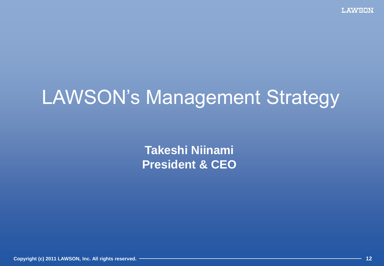# LAWSON's Management Strategy

**Takeshi Niinami President & CEO**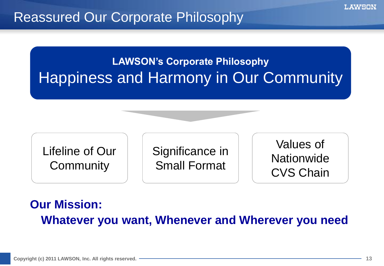#### Reassured Our Corporate Philosophy

### **LAWSON's Corporate Philosophy** Happiness and Harmony in Our Community

Lifeline of Our **Community** 

Significance in Small Format

Values of **Nationwide** CVS Chain

#### **Our Mission: Whatever you want, Whenever and Wherever you need**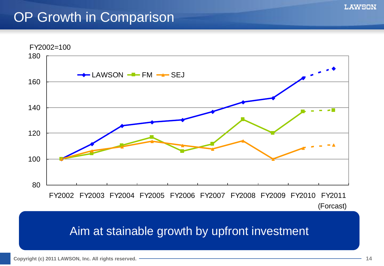### OP Growth in Comparison



(Forcast)

#### Aim at stainable growth by upfront investment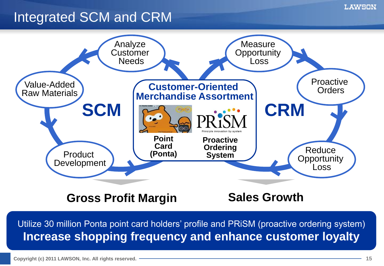### Integrated SCM and CRM



#### **Gross Profit Margin Sales Growth**

Utilize 30 million Ponta point card holders' profile and PRiSM (proactive ordering system) **Increase shopping frequency and enhance customer loyalty**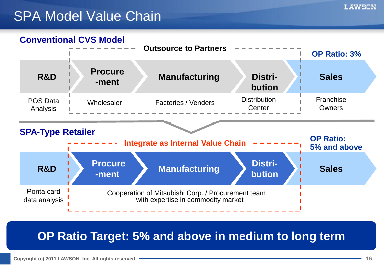### SPA Model Value Chain





#### **OP Ratio Target: 5% and above in medium to long term**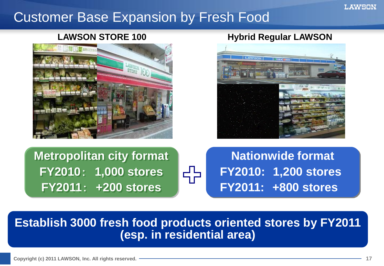#### LAWSON

#### Customer Base Expansion by Fresh Food



#### **LAWSON STORE 100 Hybrid Regular LAWSON**



**Metropolitan city format FY2010**: **1,000 stores FY2011**: **+200 stores**



**Nationwide format FY2010: 1,200 stores FY2011: +800 stores**

#### **Establish 3000 fresh food products oriented stores by FY2011 (esp. in residential area)**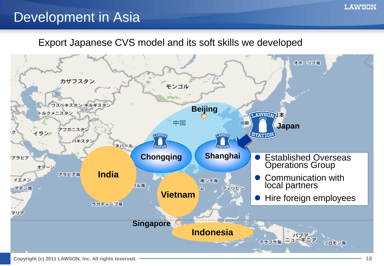#### Development in Asia

#### Export Japanese CVS model and its soft skills we developed



**LAWSON**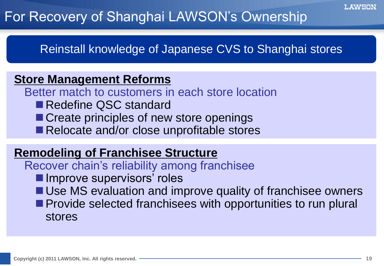### For Recovery of Shanghai LAWSON's Ownership

Reinstall knowledge of Japanese CVS to Shanghai stores

#### **Store Management Reforms**

Better match to customers in each store location

- Redefine QSC standard
- Create principles of new store openings
- Relocate and/or close unprofitable stores

#### **Remodeling of Franchisee Structure**

Recover chain's reliability among franchisee

- **Improve supervisors' roles**
- Use MS evaluation and improve quality of franchisee owners
- **Provide selected franchisees with opportunities to run plural** stores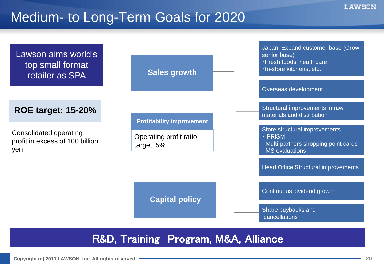#### Medium- to Long-Term Goals for 2020



#### R&D, Training Program, M&A, Alliance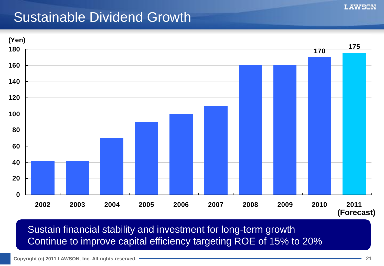#### Sustainable Dividend Growth



Sustain financial stability and investment for long-term growth Continue to improve capital efficiency targeting ROE of 15% to 20%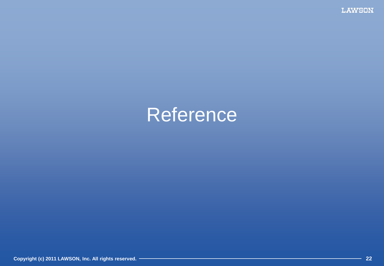**LAWSON** 

## Reference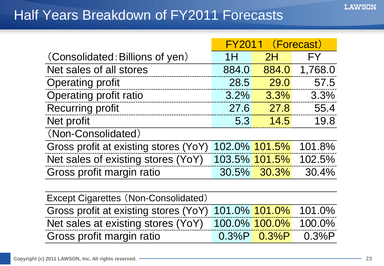### Half Years Breakdown of FY2011 Forecasts

|                                             | <b>FY2011</b><br>(Forecast) |               |         |  |  |  |  |
|---------------------------------------------|-----------------------------|---------------|---------|--|--|--|--|
| (Consolidated: Billions of yen)             | 1H                          | 2H            | FY      |  |  |  |  |
| Net sales of all stores                     | 884.0                       | 884.0         | 1,768.0 |  |  |  |  |
| <b>Operating profit</b>                     | 28.5                        | 29.0          | 57.5    |  |  |  |  |
| Operating profit ratio                      | 3.2%                        | 3.3%          | 3.3%    |  |  |  |  |
| <b>Recurring profit</b>                     | 27.6                        | 27.8          | 55.4    |  |  |  |  |
| Net profit                                  | 5.3                         | 14.5          | 19.8    |  |  |  |  |
| (Non-Consolidated)                          |                             |               |         |  |  |  |  |
| Gross profit at existing stores (YoY)       |                             | 102.0% 101.5% | 101.8%  |  |  |  |  |
| Net sales of existing stores (YoY)          |                             | 103.5% 101.5% | 102.5%  |  |  |  |  |
| Gross profit margin ratio                   |                             | 30.5% 30.3%   | 30.4%   |  |  |  |  |
|                                             |                             |               |         |  |  |  |  |
| <b>Except Cigarettes (Non-Consolidated)</b> |                             |               |         |  |  |  |  |
| Gross profit at existing stores (YoY)       |                             | 101.0% 101.0% | 101.0%  |  |  |  |  |
| Net sales at existing stores (YoY)          |                             | 100.0% 100.0% | 100.0%  |  |  |  |  |
| Gross profit margin ratio                   | 0.3%P                       | 0.3%P         | 0.3%P   |  |  |  |  |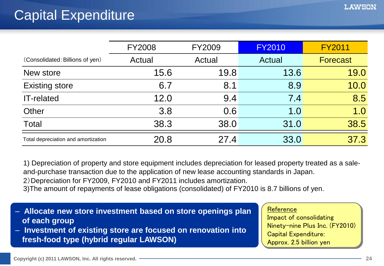|                                     | <b>FY2008</b> | <b>FY2009</b> | <b>FY2010</b>     | <b>FY2011</b>   |
|-------------------------------------|---------------|---------------|-------------------|-----------------|
| (Consolidated: Billions of yen)     | Actual        | Actual        | Actual            | <b>Forecast</b> |
| New store                           | 15.6          | 19.8          | 13.6              | 19.0            |
| <b>Existing store</b>               | 6.7           | 8.1           | 8.9               | 10.0            |
| <b>IT-related</b>                   | 12.0          | 9.4           | $\vert 7.4 \vert$ | 8.5             |
| Other                               | 3.8           | 0.6           | 1.0               | 1.0             |
| Total                               | 38.3          | 38.0          | 31.0              | 38.5            |
| Total depreciation and amortization | 20.8          | 27.4          | 33.0              | 37.3            |

1) Depreciation of property and store equipment includes depreciation for leased property treated as a saleand-purchase transaction due to the application of new lease accounting standards in Japan.

2)Depreciation for FY2009, FY2010 and FY2011 includes amortization.

3)The amount of repayments of lease obligations (consolidated) of FY2010 is 8.7 billions of yen.

- **Allocate new store investment based on store openings plan of each group**
- **Investment of existing store are focused on renovation into fresh-food type (hybrid regular LAWSON)**

#### **Reference**

Impact of consolidating Ninety-nine Plus Inc. (FY2010) Capital Expenditure: Approx. 2.5 billion yen